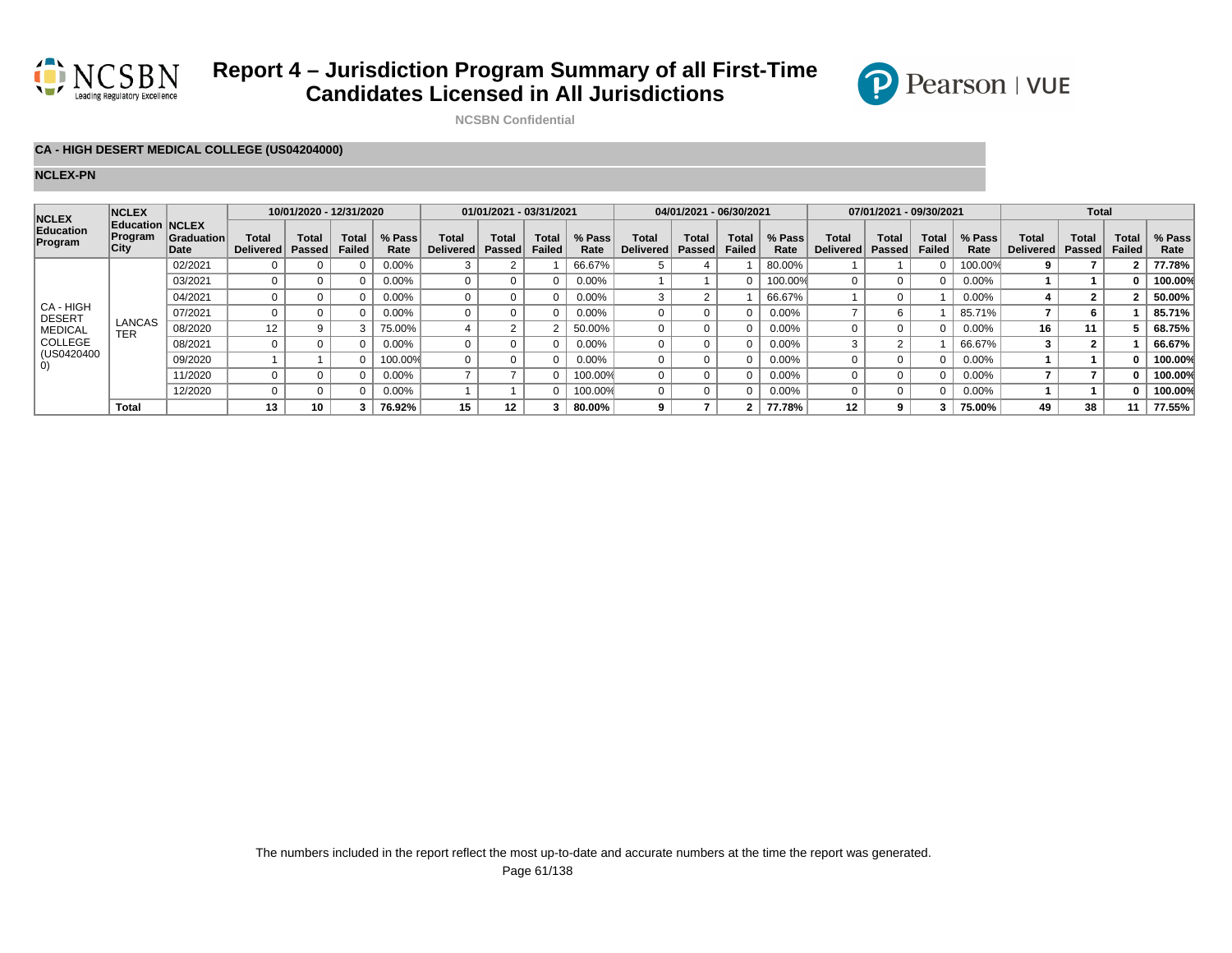

# **Report 4 – Jurisdiction Program Summary of all First-Time Candidates Licensed in All Jurisdictions**



**NCSBN Confidential**

### **CA - HIGH DESERT MEDICAL COLLEGE (US04204000)**

#### **NCLEX-PN**

| <b>NCLEX</b><br>Education<br>Program                                                        | <b>NCLEX</b><br>Education NCLEX<br>Program<br>City | <b>Graduation</b><br>Date | 10/01/2020 - 12/31/2020          |                               |                               |                | 01/01/2021 - 03/31/2021          |                        |                        |                | 04/01/2021 - 06/30/2021   |                        |                        |                | 07/01/2021 - 09/30/2021   |                        |                        |                | <b>Total</b>       |                 |                               |                |
|---------------------------------------------------------------------------------------------|----------------------------------------------------|---------------------------|----------------------------------|-------------------------------|-------------------------------|----------------|----------------------------------|------------------------|------------------------|----------------|---------------------------|------------------------|------------------------|----------------|---------------------------|------------------------|------------------------|----------------|--------------------|-----------------|-------------------------------|----------------|
|                                                                                             |                                                    |                           | <b>Total</b><br><b>Delivered</b> | <b>Total</b><br><b>Passed</b> | <b>Total</b><br><b>Failed</b> | % Pass<br>Rate | <b>Total</b><br><b>Delivered</b> | Total<br><b>Passed</b> | Total<br><b>Failed</b> | % Pass<br>Rate | Total<br><b>Delivered</b> | Total<br><b>Passed</b> | Total<br><b>Failed</b> | % Pass<br>Rate | <b>Total</b><br>Delivered | Total<br><b>Passed</b> | <b>Total</b><br>Failed | % Pass<br>Rate | Total<br>Delivered | Total<br>Passed | <b>Total</b><br><b>Failed</b> | % Pass<br>Rate |
| CA - HIGH<br><b>DESERT</b><br><b>MEDICAL</b><br>COLLEGE<br>(US0420400)<br>$\left( 0\right)$ | LANCAS<br>TER                                      | 02/2021                   |                                  |                               |                               | 0.00%          |                                  |                        |                        | 66.67%         |                           |                        |                        | 80.00%         |                           |                        |                        | 100.00%        |                    |                 |                               | 77.78%         |
|                                                                                             |                                                    | 03/2021                   |                                  | $\Omega$                      |                               | 0.00%          |                                  |                        |                        | 0.00%          |                           |                        |                        | 100.00%        |                           |                        |                        | 0.00%          |                    |                 |                               | 100.00%        |
|                                                                                             |                                                    | 04/2021                   |                                  | $\Omega$                      |                               | 0.00%          |                                  |                        |                        | 0.00%          |                           |                        |                        | 66.67%         |                           |                        |                        | 0.00%          |                    |                 |                               | 50.00%         |
|                                                                                             |                                                    | 07/2021                   |                                  |                               |                               | $0.00\%$       |                                  |                        |                        | 0.00%          |                           |                        |                        | $0.00\%$       |                           |                        |                        | 85.71%         |                    | 6               |                               | 85.71%         |
|                                                                                             |                                                    | 08/2020                   | 12                               | 9                             | ঽ                             | 75.00%         |                                  |                        |                        | 50.00%         |                           |                        |                        | 0.00%          |                           |                        |                        | 0.00%          | 16                 | 11              |                               | 68.75%         |
|                                                                                             |                                                    | 08/2021                   |                                  |                               |                               | $0.00\%$       |                                  |                        |                        | 0.00%          |                           |                        |                        | $0.00\%$       |                           |                        |                        | 66.67%         |                    |                 |                               | 66.67%         |
|                                                                                             |                                                    | 09/2020                   |                                  |                               |                               | 100.00%        |                                  |                        |                        | 0.00%          |                           |                        |                        | $0.00\%$       |                           |                        |                        | 0.00%          |                    |                 |                               | 100.00%        |
|                                                                                             |                                                    | 11/2020                   |                                  |                               |                               | 0.00%          |                                  |                        |                        | 100.00%        |                           |                        |                        | $0.00\%$       |                           |                        |                        | 0.00%          |                    |                 |                               | 100.00%        |
|                                                                                             |                                                    | 12/2020                   |                                  | $\Omega$                      |                               | 0.00%          |                                  |                        |                        | 100.00%        |                           |                        |                        | 0.00%          |                           |                        |                        | 0.00%          |                    |                 |                               | 100.00%        |
|                                                                                             | Total                                              |                           | 13                               | 10                            |                               | 76.92%         | 15                               | 12 <sup>12</sup>       |                        | 80.00%         |                           |                        |                        | 77.78%         | 12                        |                        |                        | 75.00%         | 49                 | 38              | 11                            | 77.55%         |